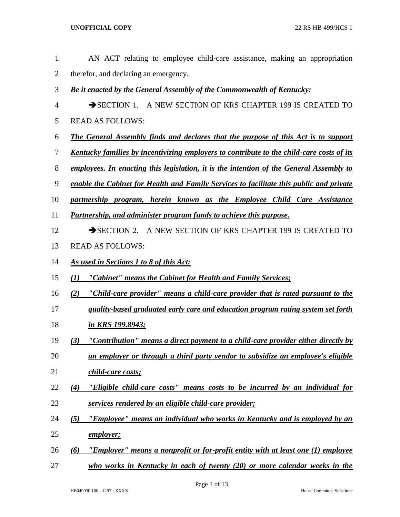| 1              | AN ACT relating to employee child-care assistance, making an appropriation                       |
|----------------|--------------------------------------------------------------------------------------------------|
| $\overline{2}$ | therefor, and declaring an emergency.                                                            |
| 3              | Be it enacted by the General Assembly of the Commonwealth of Kentucky:                           |
| $\overline{4}$ | SECTION 1. A NEW SECTION OF KRS CHAPTER 199 IS CREATED TO                                        |
| 5              | <b>READ AS FOLLOWS:</b>                                                                          |
| 6              | <b>The General Assembly finds and declares that the purpose of this Act is to support</b>        |
| 7              | <u>Kentucky families by incentivizing employers to contribute to the child-care costs of its</u> |
| 8              | employees. In enacting this legislation, it is the intention of the General Assembly to          |
| 9              | enable the Cabinet for Health and Family Services to facilitate this public and private          |
| 10             | partnership program, herein known as the Employee Child Care Assistance                          |
| 11             | Partnership, and administer program funds to achieve this purpose.                               |
| 12             | SECTION 2. A NEW SECTION OF KRS CHAPTER 199 IS CREATED TO                                        |
| 13             | <b>READ AS FOLLOWS:</b>                                                                          |
| 14             | As used in Sections 1 to 8 of this Act:                                                          |
| 15             | "Cabinet" means the Cabinet for Health and Family Services;<br>$\mathbf{U}$                      |
| 16             | "Child-care provider" means a child-care provider that is rated pursuant to the<br>(2)           |
| 17             | quality-based graduated early care and education program rating system set forth                 |
| 18             | <u>in KRS 199.8943;</u>                                                                          |
| 19             | "Contribution" means a direct payment to a child-care provider either directly by<br>(3)         |
| 20             | an employer or through a third party vendor to subsidize an employee's eligible                  |
| 21             | child-care costs;                                                                                |
| 22             | "Eligible child-care costs" means costs to be incurred by an individual for<br>(4)               |
| 23             | services rendered by an eligible child-care provider;                                            |
| 24             | "Employee" means an individual who works in Kentucky and is employed by an<br>(5)                |
| 25             | <u>employer;</u>                                                                                 |
| 26             | "Employer" means a nonprofit or for-profit entity with at least one (1) employee<br>(6)          |
| 27             | who works in Kentucky in each of twenty (20) or more calendar weeks in the                       |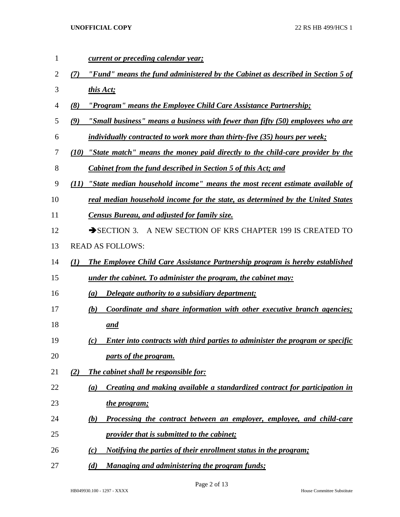| 1  |      | current or preceding calendar year;                                                  |
|----|------|--------------------------------------------------------------------------------------|
| 2  | (7)  | "Fund" means the fund administered by the Cabinet as described in Section 5 of       |
| 3  |      | this Act;                                                                            |
| 4  | (8)  | <u>"Program" means the Employee Child Care Assistance Partnership;</u>               |
| 5  | (9)  | "Small business" means a business with fewer than fifty (50) employees who are       |
| 6  |      | <i>individually contracted to work more than thirty-five (35) hours per week;</i>    |
| 7  | (10) | "State match" means the money paid directly to the child-care provider by the        |
| 8  |      | <b>Cabinet from the fund described in Section 5 of this Act; and</b>                 |
| 9  | (11) | "State median household income" means the most recent estimate available of          |
| 10 |      | real median household income for the state, as determined by the United States       |
| 11 |      | <b>Census Bureau, and adjusted for family size.</b>                                  |
| 12 |      | A NEW SECTION OF KRS CHAPTER 199 IS CREATED TO<br>$\rightarrow$ SECTION 3.           |
| 13 |      | <b>READ AS FOLLOWS:</b>                                                              |
| 14 | (1)  | The Employee Child Care Assistance Partnership program is hereby established         |
| 15 |      | <u>under the cabinet. To administer the program, the cabinet may:</u>                |
| 16 |      | <i><u><b>Delegate authority to a subsidiary department;</b></u></i><br>(a)           |
| 17 |      | Coordinate and share information with other executive branch agencies;<br>(b)        |
| 18 |      | and                                                                                  |
| 19 |      | Enter into contracts with third parties to administer the program or specific<br>(c) |
| 20 |      | parts of the program.                                                                |
| 21 | (2)  | The cabinet shall be responsible for:                                                |
| 22 |      | Creating and making available a standardized contract for participation in<br>(a)    |
| 23 |      | the program;                                                                         |
| 24 |      | Processing the contract between an employer, employee, and child-care<br>(b)         |
| 25 |      | <i><u><b>provider that is submitted to the cabinet;</b></u></i>                      |
| 26 |      | <u>Notifying the parties of their enrollment status in the program;</u><br>(c)       |
| 27 |      | Managing and administering the program funds;<br>(d)                                 |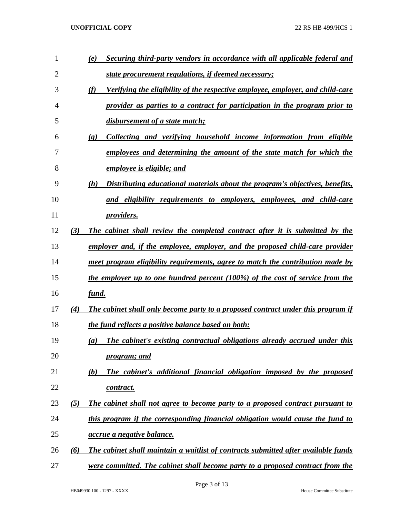| $\mathbf{1}$ |     | Securing third-party vendors in accordance with all applicable federal and<br>(e)                  |
|--------------|-----|----------------------------------------------------------------------------------------------------|
| 2            |     | <u>state procurement regulations, if deemed necessary;</u>                                         |
| 3            |     | (f)<br>Verifying the eligibility of the respective employee, employer, and child-care              |
| 4            |     | provider as parties to a contract for participation in the program prior to                        |
| 5            |     | disbursement of a state match;                                                                     |
| 6            |     | Collecting and verifying household income information from eligible<br>$\left( \mathbf{g} \right)$ |
| 7            |     | employees and determining the amount of the state match for which the                              |
| 8            |     | employee is eligible; and                                                                          |
| 9            |     | (h)<br>Distributing educational materials about the program's objectives, benefits,                |
| 10           |     | and eligibility requirements to employers, employees, and child-care                               |
| 11           |     | <i>providers.</i>                                                                                  |
| 12           | (3) | The cabinet shall review the completed contract after it is submitted by the                       |
| 13           |     | employer and, if the employee, employer, and the proposed child-care provider                      |
| 14           |     | meet program eligibility requirements, agree to match the contribution made by                     |
| 15           |     | the employer up to one hundred percent (100%) of the cost of service from the                      |
| 16           |     | fund.                                                                                              |
| 17           | (4) | The cabinet shall only become party to a proposed contract under this program if                   |
| 18           |     | the fund reflects a positive balance based on both:                                                |
| 19           |     | The cabinet's existing contractual obligations already accrued under this<br>(a)                   |
| 20           |     | <i>program; and</i>                                                                                |
| 21           |     | The cabinet's additional financial obligation imposed by the proposed<br>(b)                       |
| 22           |     | contract.                                                                                          |
| 23           | (5) | The cabinet shall not agree to become party to a proposed contract pursuant to                     |
| 24           |     | this program if the corresponding financial obligation would cause the fund to                     |
| 25           |     | <i><u>accrue a negative balance.</u></i>                                                           |
| 26           | (6) | The cabinet shall maintain a waitlist of contracts submitted after available funds                 |
| 27           |     | were committed. The cabinet shall become party to a proposed contract from the                     |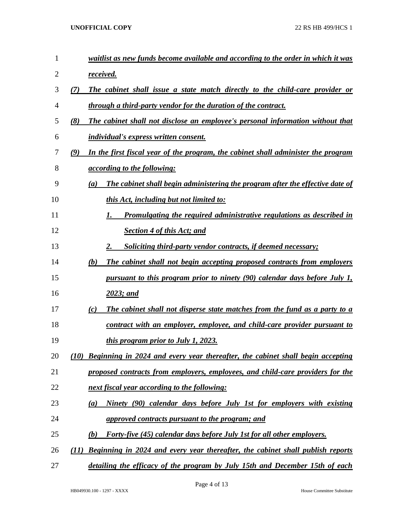| 1  | waitlist as new funds become available and according to the order in which it was        |
|----|------------------------------------------------------------------------------------------|
| 2  | received.                                                                                |
| 3  | The cabinet shall issue a state match directly to the child-care provider or<br>(7)      |
| 4  | through a third-party vendor for the duration of the contract.                           |
| 5  | (8)<br>The cabinet shall not disclose an employee's personal information without that    |
| 6  | <i>individual's express written consent.</i>                                             |
| 7  | (9)<br>In the first fiscal year of the program, the cabinet shall administer the program |
| 8  | <i><u>according to the following:</u></i>                                                |
| 9  | The cabinet shall begin administering the program after the effective date of<br>(a)     |
| 10 | this Act, including but not limited to:                                                  |
| 11 | <u>Promulgating the required administrative regulations as described in</u>              |
| 12 | <b>Section 4 of this Act; and</b>                                                        |
| 13 | <b>Soliciting third-party vendor contracts, if deemed necessary;</b>                     |
| 14 | The cabinet shall not begin accepting proposed contracts from employers<br>(b)           |
| 15 | <u>pursuant to this program prior to ninety (90) calendar days before July 1,</u>        |
| 16 | 2023; and                                                                                |
| 17 | The cabinet shall not disperse state matches from the fund as a party to a<br>(c)        |
| 18 | contract with an employer, employee, and child-care provider pursuant to                 |
| 19 | this program prior to July 1, 2023.                                                      |
| 20 | (10) Beginning in 2024 and every year thereafter, the cabinet shall begin accepting      |
| 21 | proposed contracts from employers, employees, and child-care providers for the           |
| 22 | next fiscal year according to the following:                                             |
| 23 | Ninety (90) calendar days before July 1st for employers with existing<br>(a)             |
| 24 | approved contracts pursuant to the program; and                                          |
| 25 | <b>Forty-five (45) calendar days before July 1st for all other employers.</b><br>(b)     |
| 26 | Beginning in 2024 and every year thereafter, the cabinet shall publish reports<br>(11)   |
| 27 | detailing the efficacy of the program by July 15th and December 15th of each             |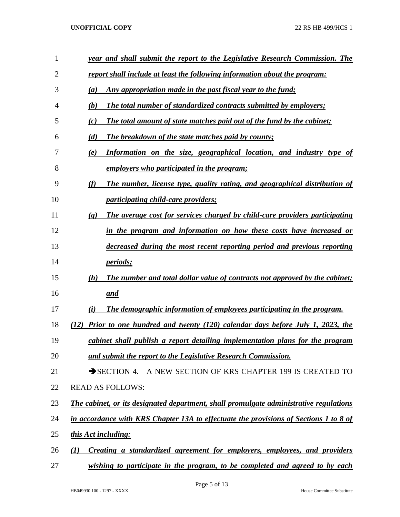| 1              | year and shall submit the report to the Legislative Research Commission. The                               |
|----------------|------------------------------------------------------------------------------------------------------------|
| $\overline{2}$ | report shall include at least the following information about the program:                                 |
| 3              | Any appropriation made in the past fiscal year to the fund;<br>(a)                                         |
| 4              | The total number of standardized contracts submitted by employers;<br>(b)                                  |
| 5              | The total amount of state matches paid out of the fund by the cabinet;<br>(c)                              |
| 6              | (d)<br>The breakdown of the state matches paid by county;                                                  |
| 7              | Information on the size, geographical location, and industry type of<br>(e)                                |
| 8              | employers who participated in the program;                                                                 |
| 9              | (f)<br>The number, license type, quality rating, and geographical distribution of                          |
| 10             | <i>participating child-care providers;</i>                                                                 |
| 11             | The average cost for services charged by child-care providers participating<br>$\left( \mathbf{g} \right)$ |
| 12             | in the program and information on how these costs have increased or                                        |
| 13             | decreased during the most recent reporting period and previous reporting                                   |
| 14             | <i>periods</i> ;                                                                                           |
| 15             | (h)<br>The number and total dollar value of contracts not approved by the cabinet;                         |
| 16             | and                                                                                                        |
| 17             | The demographic information of employees participating in the program.<br>(i)                              |
| 18             | Prior to one hundred and twenty (120) calendar days before July 1, 2023, the<br>(12)                       |
| 19             | cabinet shall publish a report detailing implementation plans for the program                              |
| 20             | and submit the report to the Legislative Research Commission.                                              |
| 21             | SECTION 4. A NEW SECTION OF KRS CHAPTER 199 IS CREATED TO                                                  |
| 22             | <b>READ AS FOLLOWS:</b>                                                                                    |
| 23             | The cabinet, or its designated department, shall promulgate administrative regulations                     |
| 24             | in accordance with KRS Chapter 13A to effectuate the provisions of Sections 1 to 8 of                      |
| 25             | this Act including:                                                                                        |
| 26             | Creating a standardized agreement for employers, employees, and providers<br>(I)                           |
| 27             | wishing to participate in the program, to be completed and agreed to by each                               |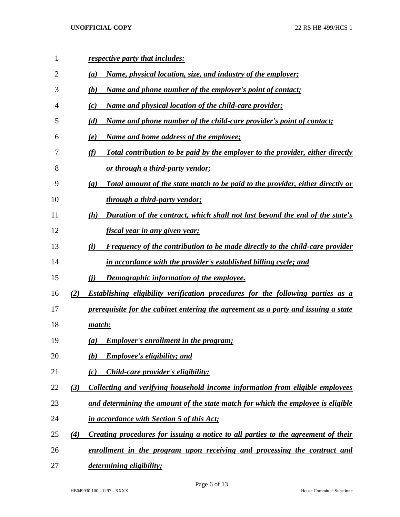| 1  |     | respective party that includes:                                                                               |
|----|-----|---------------------------------------------------------------------------------------------------------------|
| 2  |     | Name, physical location, size, and industry of the employer;<br>(a)                                           |
| 3  |     | <u>Name and phone number of the employer's point of contact;</u><br>(b)                                       |
| 4  |     | <u>Name and physical location of the child-care provider;</u><br>(c)                                          |
| 5  |     | Name and phone number of the child-care provider's point of contact;<br>(d)                                   |
| 6  |     | <u>Name and home address of the employee;</u><br>(e)                                                          |
| 7  |     | (f)<br>Total contribution to be paid by the employer to the provider, either directly                         |
| 8  |     | <u>or through a third-party vendor;</u>                                                                       |
| 9  |     | Total amount of the state match to be paid to the provider, either directly or<br>$\left( \mathbf{g} \right)$ |
| 10 |     | through a third-party vendor;                                                                                 |
| 11 |     | Duration of the contract, which shall not last beyond the end of the state's<br>(h)                           |
| 12 |     | <u>fiscal year in any given year;</u>                                                                         |
| 13 |     | <b>Frequency of the contribution to be made directly to the child-care provider</b><br>(i)                    |
| 14 |     | in accordance with the provider's established billing cycle; and                                              |
| 15 |     | <u>Demographic information of the employee.</u><br>(i)                                                        |
| 16 | (2) | <b>Establishing eligibility verification procedures for the following parties as a</b>                        |
| 17 |     | prerequisite for the cabinet entering the agreement as a party and issuing a state                            |
| 18 |     | match:                                                                                                        |
| 19 |     | <b>Employer's enrollment in the program;</b><br>$\left(a\right)$                                              |
| 20 |     | <b>Employee's eligibility; and</b><br>(b)                                                                     |
| 21 |     | <i>Child-care provider's eligibility;</i><br>(c)                                                              |
| 22 | (3) | Collecting and verifying household income information from eligible employees                                 |
| 23 |     | and determining the amount of the state match for which the employee is eligible                              |
| 24 |     | in accordance with Section 5 of this Act;                                                                     |
| 25 | (4) | Creating procedures for issuing a notice to all parties to the agreement of their                             |
| 26 |     | enrollment in the program upon receiving and processing the contract and                                      |
| 27 |     | <i>determining eligibility;</i>                                                                               |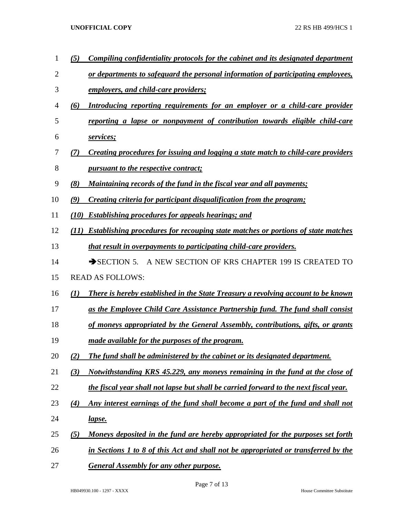*(5) Compiling confidentiality protocols for the cabinet and its designated department or departments to safeguard the personal information of participating employees, employers, and child-care providers; (6) Introducing reporting requirements for an employer or a child-care provider reporting a lapse or nonpayment of contribution towards eligible child-care services; (7) Creating procedures for issuing and logging a state match to child-care providers pursuant to the respective contract; (8) Maintaining records of the fund in the fiscal year and all payments; (9) Creating criteria for participant disqualification from the program; (10) Establishing procedures for appeals hearings; and (11) Establishing procedures for recouping state matches or portions of state matches that result in overpayments to participating child-care providers.* 14 SECTION 5. A NEW SECTION OF KRS CHAPTER 199 IS CREATED TO READ AS FOLLOWS: *(1) There is hereby established in the State Treasury a revolving account to be known as the Employee Child Care Assistance Partnership fund. The fund shall consist of moneys appropriated by the General Assembly, contributions, gifts, or grants made available for the purposes of the program. (2) The fund shall be administered by the cabinet or its designated department. (3) Notwithstanding KRS 45.229, any moneys remaining in the fund at the close of the fiscal year shall not lapse but shall be carried forward to the next fiscal year. (4) Any interest earnings of the fund shall become a part of the fund and shall not lapse. (5) Moneys deposited in the fund are hereby appropriated for the purposes set forth in Sections 1 to 8 of this Act and shall not be appropriated or transferred by the General Assembly for any other purpose.*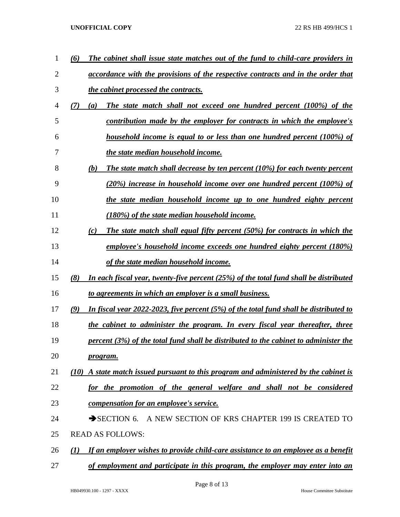| 1  | The cabinet shall issue state matches out of the fund to child-care providers in<br>(6)       |
|----|-----------------------------------------------------------------------------------------------|
| 2  | accordance with the provisions of the respective contracts and in the order that              |
| 3  | the cabinet processed the contracts.                                                          |
| 4  | The state match shall not exceed one hundred percent (100%) of the<br>(7)<br>$\left(a\right)$ |
| 5  | contribution made by the employer for contracts in which the employee's                       |
| 6  | household income is equal to or less than one hundred percent (100%) of                       |
| 7  | the state median household income.                                                            |
| 8  | (b)<br>The state match shall decrease by ten percent $(10\%)$ for each twenty percent         |
| 9  | $(20\%)$ increase in household income over one hundred percent (100%) of                      |
| 10 | the state median household income up to one hundred eighty percent                            |
| 11 | (180%) of the state median household income.                                                  |
| 12 | The state match shall equal fifty percent (50%) for contracts in which the<br>(c)             |
| 13 | employee's household income exceeds one hundred eighty percent (180%)                         |
| 14 | of the state median household income.                                                         |
| 15 | In each fiscal year, twenty-five percent (25%) of the total fund shall be distributed<br>(8)  |
| 16 | to agreements in which an employer is a small business.                                       |
| 17 | In fiscal year 2022-2023, five percent (5%) of the total fund shall be distributed to<br>(9)  |
| 18 | the cabinet to administer the program. In every fiscal year thereafter, three                 |
| 19 | percent (3%) of the total fund shall be distributed to the cabinet to administer the          |
| 20 | program.                                                                                      |
| 21 | $(10)$ A state match issued pursuant to this program and administered by the cabinet is       |
| 22 | for the promotion of the general welfare and shall not be considered                          |
| 23 | compensation for an employee's service.                                                       |
| 24 | SECTION 6. A NEW SECTION OF KRS CHAPTER 199 IS CREATED TO                                     |
| 25 | <b>READ AS FOLLOWS:</b>                                                                       |
| 26 | If an employer wishes to provide child-care assistance to an employee as a benefit<br>(I)     |
| 27 | of employment and participate in this program, the employer may enter into an                 |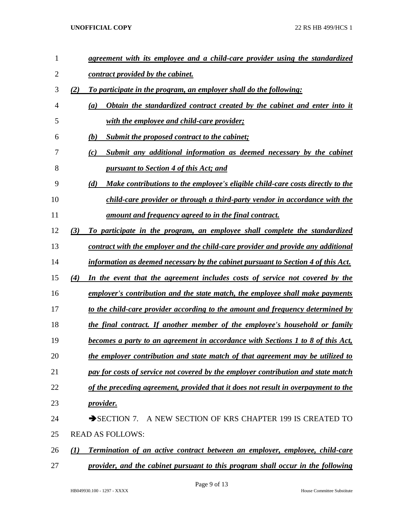| $\mathbf{1}$   | agreement with its employee and a child-care provider using the standardized          |
|----------------|---------------------------------------------------------------------------------------|
| $\overline{2}$ | contract provided by the cabinet.                                                     |
| 3              | (2)<br>To participate in the program, an employer shall do the following:             |
| 4              | Obtain the standardized contract created by the cabinet and enter into it<br>(a)      |
| 5              | with the employee and child-care provider;                                            |
| 6              | (b)<br>Submit the proposed contract to the cabinet;                                   |
| 7              | Submit any additional information as deemed necessary by the cabinet<br>(c)           |
| 8              | <u><b>pursuant to Section 4 of this Act; and</b></u>                                  |
| 9              | (d)<br>Make contributions to the employee's eligible child-care costs directly to the |
| 10             | child-care provider or through a third-party vendor in accordance with the            |
| 11             | amount and frequency agreed to in the final contract.                                 |
| 12             | (3)<br>To participate in the program, an employee shall complete the standardized     |
| 13             | contract with the employer and the child-care provider and provide any additional     |
| 14             | information as deemed necessary by the cabinet pursuant to Section 4 of this Act.     |
| 15             | In the event that the agreement includes costs of service not covered by the<br>(4)   |
| 16             | employer's contribution and the state match, the employee shall make payments         |
| 17             | to the child-care provider according to the amount and frequency determined by        |
| 18             | <u>the final contract. If another member of the employee's household or family</u>    |
| 19             | becomes a party to an agreement in accordance with Sections 1 to 8 of this Act,       |
| 20             | the employer contribution and state match of that agreement may be utilized to        |
| 21             | pay for costs of service not covered by the employer contribution and state match     |
| 22             | of the preceding agreement, provided that it does not result in overpayment to the    |
| 23             | <u>provider.</u>                                                                      |
| 24             | A NEW SECTION OF KRS CHAPTER 199 IS CREATED TO<br>$\rightarrow$ SECTION 7.            |
| 25             | <b>READ AS FOLLOWS:</b>                                                               |
| 26             | Termination of an active contract between an employer, employee, child-care<br>(1)    |
| 27             | provider, and the cabinet pursuant to this program shall occur in the following       |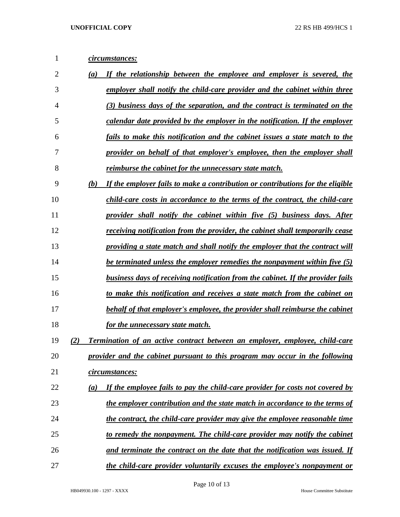| 1              | circumstances:                                                                            |
|----------------|-------------------------------------------------------------------------------------------|
| $\overline{2}$ | If the relationship between the employee and employer is severed, the<br>(a)              |
| 3              | employer shall notify the child-care provider and the cabinet within three                |
| 4              | (3) business days of the separation, and the contract is terminated on the                |
| 5              | calendar date provided by the employer in the notification. If the employer               |
| 6              | fails to make this notification and the cabinet issues a state match to the               |
| 7              | provider on behalf of that employer's employee, then the employer shall                   |
| 8              | reimburse the cabinet for the unnecessary state match.                                    |
| 9              | If the employer fails to make a contribution or contributions for the eligible<br>(b)     |
| 10             | child-care costs in accordance to the terms of the contract, the child-care               |
| 11             | provider shall notify the cabinet within five (5) business days. After                    |
| 12             | receiving notification from the provider, the cabinet shall temporarily cease             |
| 13             | providing a state match and shall notify the employer that the contract will              |
| 14             | <u>be terminated unless the employer remedies the nonpayment within five (5)</u>          |
| 15             | <b>business days of receiving notification from the cabinet. If the provider fails</b>    |
| 16             | to make this notification and receives a state match from the cabinet on                  |
| 17             | behalf of that employer's employee, the provider shall reimburse the cabinet              |
| 18             | for the unnecessary state match.                                                          |
| 19             | (2)<br><b>Termination of an active contract between an employer, employee, child-care</b> |
| 20             | provider and the cabinet pursuant to this program may occur in the following              |
| 21             | circumstances:                                                                            |
| 22             | If the employee fails to pay the child-care provider for costs not covered by<br>(a)      |
| 23             | the employer contribution and the state match in accordance to the terms of               |
| 24             | the contract, the child-care provider may give the employee reasonable time               |
| 25             | to remedy the nonpayment. The child-care provider may notify the cabinet                  |
| 26             | and terminate the contract on the date that the notification was issued. If               |
| 27             | the child-care provider voluntarily excuses the employee's nonpayment or                  |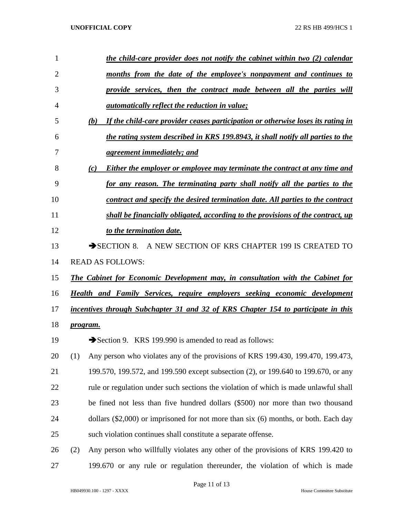| $\mathbf{1}$   | the child-care provider does not notify the cabinet within two (2) calendar             |
|----------------|-----------------------------------------------------------------------------------------|
| $\overline{2}$ | months from the date of the employee's nonpayment and continues to                      |
| 3              | provide services, then the contract made between all the parties will                   |
| 4              | <i>automatically reflect the reduction in value;</i>                                    |
| 5              | If the child-care provider ceases participation or otherwise loses its rating in<br>(b) |
| 6              | the rating system described in KRS 199.8943, it shall notify all parties to the         |
| 7              | <u>agreement immediately; and</u>                                                       |
| 8              | (c)<br>Either the employer or employee may terminate the contract at any time and       |
| 9              | for any reason. The terminating party shall notify all the parties to the               |
| 10             | contract and specify the desired termination date. All parties to the contract          |
| 11             | shall be financially obligated, according to the provisions of the contract, up         |
| 12             | to the termination date.                                                                |
| 13             | $\rightarrow$ SECTION 8.<br>A NEW SECTION OF KRS CHAPTER 199 IS CREATED TO              |
| 14             | <b>READ AS FOLLOWS:</b>                                                                 |
| 15             | The Cabinet for Economic Development may, in consultation with the Cabinet for          |
| 16             | <b>Health and Family Services, require employers seeking economic development</b>       |
| 17             | incentives through Subchapter 31 and 32 of KRS Chapter 154 to participate in this       |
| 18             | program.                                                                                |
| 19             | Section 9. KRS 199.990 is amended to read as follows:                                   |
| 20             | Any person who violates any of the provisions of KRS 199.430, 199.470, 199.473,<br>(1)  |
| 21             | 199.570, 199.572, and 199.590 except subsection (2), or 199.640 to 199.670, or any      |
| 22             | rule or regulation under such sections the violation of which is made unlawful shall    |
| 23             | be fined not less than five hundred dollars (\$500) nor more than two thousand          |
| 24             | dollars $(\$2,000)$ or imprisoned for not more than six $(6)$ months, or both. Each day |
| 25             | such violation continues shall constitute a separate offense.                           |
| 26             | Any person who willfully violates any other of the provisions of KRS 199.420 to<br>(2)  |
| 27             | 199.670 or any rule or regulation thereunder, the violation of which is made            |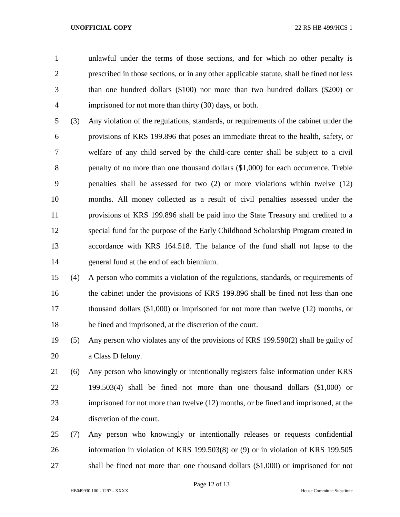unlawful under the terms of those sections, and for which no other penalty is prescribed in those sections, or in any other applicable statute, shall be fined not less than one hundred dollars (\$100) nor more than two hundred dollars (\$200) or imprisoned for not more than thirty (30) days, or both.

 (3) Any violation of the regulations, standards, or requirements of the cabinet under the provisions of KRS 199.896 that poses an immediate threat to the health, safety, or welfare of any child served by the child-care center shall be subject to a civil penalty of no more than one thousand dollars (\$1,000) for each occurrence. Treble penalties shall be assessed for two (2) or more violations within twelve (12) months. All money collected as a result of civil penalties assessed under the provisions of KRS 199.896 shall be paid into the State Treasury and credited to a special fund for the purpose of the Early Childhood Scholarship Program created in accordance with KRS 164.518. The balance of the fund shall not lapse to the general fund at the end of each biennium.

 (4) A person who commits a violation of the regulations, standards, or requirements of the cabinet under the provisions of KRS 199.896 shall be fined not less than one thousand dollars (\$1,000) or imprisoned for not more than twelve (12) months, or be fined and imprisoned, at the discretion of the court.

 (5) Any person who violates any of the provisions of KRS 199.590(2) shall be guilty of a Class D felony.

 (6) Any person who knowingly or intentionally registers false information under KRS 199.503(4) shall be fined not more than one thousand dollars (\$1,000) or imprisoned for not more than twelve (12) months, or be fined and imprisoned, at the discretion of the court.

 (7) Any person who knowingly or intentionally releases or requests confidential information in violation of KRS 199.503(8) or (9) or in violation of KRS 199.505 shall be fined not more than one thousand dollars (\$1,000) or imprisoned for not

Page 12 of 13